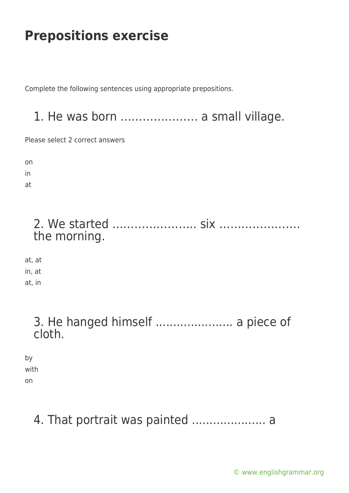Complete the following sentences using appropriate prepositions.

### 1. He was born ………………… a small village.

Please select 2 correct answers

on

in

at

### 2. We started ………………….. six …………………. the morning.

at, at in, at at, in

### 3. He hanged himself ...................... a piece of cloth.

by with on

# 4. That portrait was painted ..................... a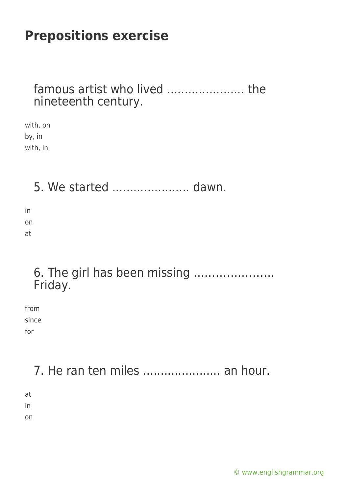#### famous artist who lived ...................... the nineteenth century.

with, on by, in with, in

5. We started ...................... dawn.

in on at

### 6. The girl has been missing …………………. Friday.

from since for

# 7. He ran ten miles ....................... an hour.

at in

on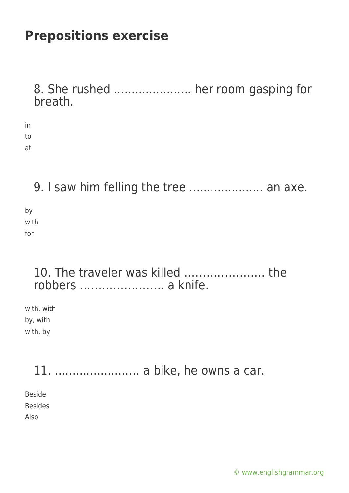8. She rushed ...................... her room gasping for breath.

in to at

9. I saw him felling the tree ..................... an axe.

by with for

### 10. The traveler was killed …………………. the robbers ………………….. a knife.

with, with by, with with, by

11. .....................… a bike, he owns a car. Beside Besides

Also